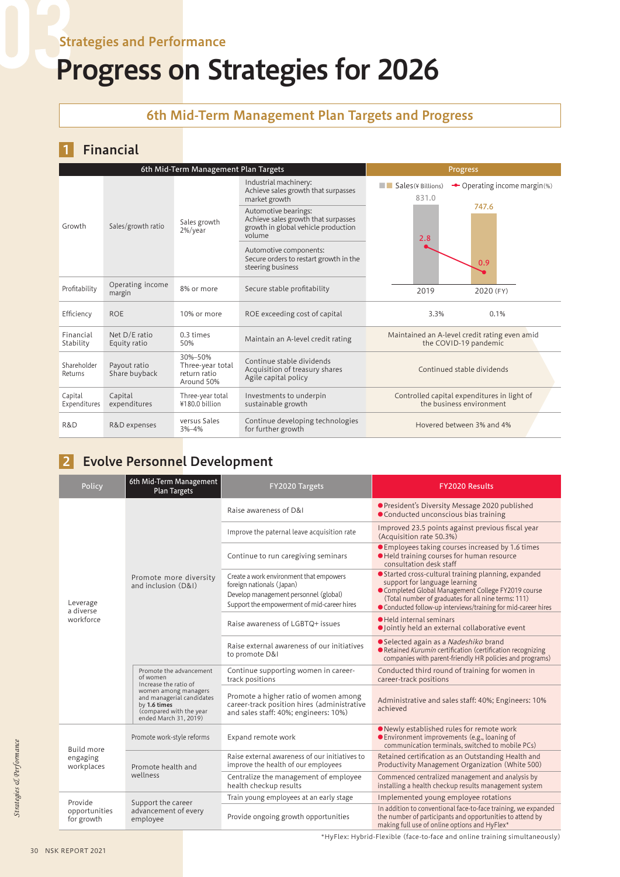### Strategies and Performance

# Progress on Strategies for 2026

#### 6th Mid-Term Management Plan Targets and Progress

#### 1 Financial

| 6th Mid-Term Management Plan Targets |                               |                                                           |                                                                                                              | Progress                                      |                                                                         |
|--------------------------------------|-------------------------------|-----------------------------------------------------------|--------------------------------------------------------------------------------------------------------------|-----------------------------------------------|-------------------------------------------------------------------------|
|                                      | Sales/growth ratio            | Sales growth<br>2%/year                                   | Industrial machinery:<br>Achieve sales growth that surpasses<br>market growth                                | $\blacksquare$ Sales (\int Billions)<br>831.0 | ← Operating income margin(%)                                            |
| Growth                               |                               |                                                           | Automotive bearings:<br>Achieve sales growth that surpasses<br>growth in global vehicle production<br>volume | 2.8                                           | 747.6                                                                   |
|                                      |                               |                                                           | Automotive components:<br>Secure orders to restart growth in the<br>steering business                        |                                               | 0.9                                                                     |
| Profitability                        | Operating income<br>margin    | 8% or more                                                | Secure stable profitability                                                                                  | 2019                                          | 2020 (FY)                                                               |
| Efficiency                           | <b>ROE</b>                    | 10% or more                                               | ROE exceeding cost of capital                                                                                | 3.3%                                          | 0.1%                                                                    |
| Financial<br>Stability               | Net D/E ratio<br>Equity ratio | $0.3 \text{ times}$<br>50%                                | Maintain an A-level credit rating                                                                            |                                               | Maintained an A-level credit rating even amid<br>the COVID-19 pandemic  |
| Shareholder<br>Returns               | Payout ratio<br>Share buyback | 30%-50%<br>Three-year total<br>return ratio<br>Around 50% | Continue stable dividends<br>Acquisition of treasury shares<br>Agile capital policy                          |                                               | Continued stable dividends                                              |
| Capital<br>Expenditures              | Capital<br>expenditures       | Three-year total<br>¥180.0 billion                        | Investments to underpin<br>sustainable growth                                                                |                                               | Controlled capital expenditures in light of<br>the business environment |
| R&D                                  | R&D expenses                  | versus Sales<br>$3% - 4%$                                 | Continue developing technologies<br>for further growth                                                       |                                               | Hovered between 3% and 4%                                               |

## 2 Evolve Personnel Development

| Policy                      | 6th Mid-Term Management<br>Plan Targets                                                                                                                                               | FY2020 Targets                                                                                                                                               | <b>FY2020 Results</b>                                                                                                                                                                                                                                               |
|-----------------------------|---------------------------------------------------------------------------------------------------------------------------------------------------------------------------------------|--------------------------------------------------------------------------------------------------------------------------------------------------------------|---------------------------------------------------------------------------------------------------------------------------------------------------------------------------------------------------------------------------------------------------------------------|
|                             |                                                                                                                                                                                       | Raise awareness of D&I                                                                                                                                       | <b>•</b> President's Diversity Message 2020 published<br>● Conducted unconscious bias training                                                                                                                                                                      |
|                             |                                                                                                                                                                                       | Improve the paternal leave acquisition rate                                                                                                                  | Improved 23.5 points against previous fiscal year<br>(Acquisition rate 50.3%)                                                                                                                                                                                       |
|                             |                                                                                                                                                                                       | Continue to run caregiving seminars                                                                                                                          | ● Employees taking courses increased by 1.6 times<br>· Held training courses for human resource<br>consultation desk staff                                                                                                                                          |
| Leverage<br>a diverse       | Promote more diversity<br>and inclusion (D&I)                                                                                                                                         | Create a work environment that empowers<br>foreign nationals (Japan)<br>Develop management personnel (global)<br>Support the empowerment of mid-career hires | ● Started cross-cultural training planning, expanded<br>support for language learning<br>Completed Global Management College FY2019 course<br>(Total number of graduates for all nine terms: 111)<br>• Conducted follow-up interviews/training for mid-career hires |
| workforce                   |                                                                                                                                                                                       | Raise awareness of LGBTQ+ issues                                                                                                                             | Held internal seminars<br>· Jointly held an external collaborative event                                                                                                                                                                                            |
|                             |                                                                                                                                                                                       | Raise external awareness of our initiatives<br>to promote D&I                                                                                                | ● Selected again as a Nadeshiko brand<br>Retained Kurumin certification (certification recognizing<br>companies with parent-friendly HR policies and programs)                                                                                                      |
|                             | Promote the advancement<br>of women<br>Increase the ratio of<br>women among managers<br>and managerial candidates<br>by 1.6 times<br>(compared with the year<br>ended March 31, 2019) | Continue supporting women in career-<br>track positions                                                                                                      | Conducted third round of training for women in<br>career-track positions                                                                                                                                                                                            |
|                             |                                                                                                                                                                                       | Promote a higher ratio of women among<br>career-track position hires (administrative<br>and sales staff: 40%; engineers: 10%)                                | Administrative and sales staff: 40%; Engineers: 10%<br>achieved                                                                                                                                                                                                     |
| <b>Build more</b>           | Promote work-style reforms                                                                                                                                                            | Expand remote work                                                                                                                                           | ● Newly established rules for remote work<br>● Environment improvements (e.g., loaning of<br>communication terminals, switched to mobile PCs)                                                                                                                       |
| engaging<br>workplaces      | Promote health and                                                                                                                                                                    | Raise external awareness of our initiatives to<br>improve the health of our employees                                                                        | Retained certification as an Outstanding Health and<br>Productivity Management Organization (White 500)                                                                                                                                                             |
|                             | wellness                                                                                                                                                                              | Centralize the management of employee<br>health checkup results                                                                                              | Commenced centralized management and analysis by<br>installing a health checkup results management system                                                                                                                                                           |
| Provide                     | Support the career                                                                                                                                                                    | Train young employees at an early stage                                                                                                                      | Implemented young employee rotations                                                                                                                                                                                                                                |
| opportunities<br>for growth | advancement of every<br>employee                                                                                                                                                      | Provide ongoing growth opportunities                                                                                                                         | In addition to conventional face-to-face training, we expanded<br>the number of participants and opportunities to attend by<br>making full use of online options and HyFlex*                                                                                        |

\*HyFlex: Hybrid-Flexible (face-to-face and online training simultaneously)